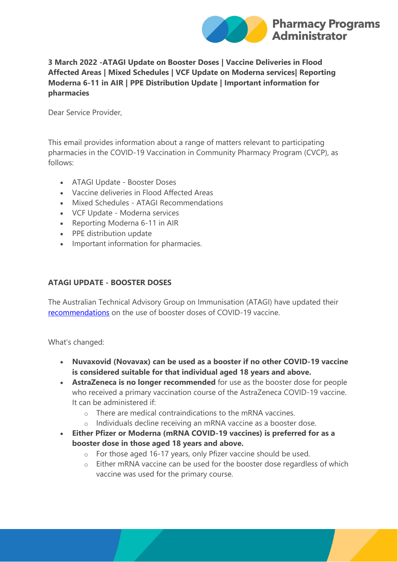

## **3 March 2022 -ATAGI Update on Booster Doses | Vaccine Deliveries in Flood Affected Areas | Mixed Schedules | VCF Update on Moderna services| Reporting Moderna 6-11 in AIR | PPE Distribution Update | Important information for pharmacies**

Dear Service Provider,

This email provides information about a range of matters relevant to participating pharmacies in the COVID-19 Vaccination in Community Pharmacy Program (CVCP), as follows:

- ATAGI Update Booster Doses
- Vaccine deliveries in Flood Affected Areas
- Mixed Schedules ATAGI Recommendations
- VCF Update Moderna services
- Reporting Moderna 6-11 in AIR
- PPE distribution update
- Important information for pharmacies.

# **ATAGI UPDATE - BOOSTER DOSES**

The Australian Technical Advisory Group on Immunisation (ATAGI) have updated their [recommendations](https://protect-au.mimecast.com/s/SLjiC0YKZLIJL1oTDCqgP?domain=health.gov.au) on the use of booster doses of COVID-19 vaccine.

What's changed:

- **Nuvaxovid (Novavax) can be used as a booster if no other COVID-19 vaccine is considered suitable for that individual aged 18 years and above.**
- **AstraZeneca is no longer recommended** for use as the booster dose for people who received a primary vaccination course of the AstraZeneca COVID-19 vaccine. It can be administered if:
	- o There are medical contraindications to the mRNA vaccines.
	- o Individuals decline receiving an mRNA vaccine as a booster dose.
- **Either Pfizer or Moderna (mRNA COVID-19 vaccines) is preferred for as a booster dose in those aged 18 years and above.**
	- o For those aged 16-17 years, only Pfizer vaccine should be used.
	- o Either mRNA vaccine can be used for the booster dose regardless of which vaccine was used for the primary course.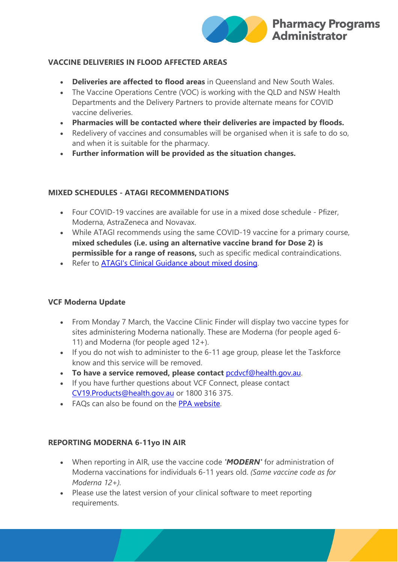

## **VACCINE DELIVERIES IN FLOOD AFFECTED AREAS**

- **Deliveries are affected to flood areas** in Queensland and New South Wales.
- The Vaccine Operations Centre (VOC) is working with the QLD and NSW Health Departments and the Delivery Partners to provide alternate means for COVID vaccine deliveries.
- **Pharmacies will be contacted where their deliveries are impacted by floods.**
- Redelivery of vaccines and consumables will be organised when it is safe to do so, and when it is suitable for the pharmacy.
- **Further information will be provided as the situation changes.**

## **MIXED SCHEDULES - ATAGI RECOMMENDATIONS**

- Four COVID-19 vaccines are available for use in a mixed dose schedule Pfizer, Moderna, AstraZeneca and Novavax.
- While ATAGI recommends using the same COVID-19 vaccine for a primary course, **mixed schedules (i.e. using an alternative vaccine brand for Dose 2) is permissible for a range of reasons,** such as specific medical contraindications.
- Refer to [ATAGI's Clinical Guidance about mixed dosing.](https://protect-au.mimecast.com/s/ZpStCgZ0o2CP7M0f2PtzJ?domain=health.gov.au)

## **VCF Moderna Update**

- From Monday 7 March, the Vaccine Clinic Finder will display two vaccine types for sites administering Moderna nationally. These are Moderna (for people aged 6- 11) and Moderna (for people aged 12+).
- If you do not wish to administer to the 6-11 age group, please let the Taskforce know and this service will be removed.
- **To have a service removed, please contact** [pcdvcf@health.gov.au.](mailto:pcdvcf@health.gov.au)
- If you have further questions about VCF Connect, please contact [CV19.Products@health.gov.au](mailto:CV19.Products@health.gov.au) or 1800 316 375.
- FAQs can also be found on the [PPA website.](https://www.ppaonline.com.au/wp-content/uploads/2022/03/Vaccine-Clinic-Finder-and-VCF-Connect-FAQs.pdf)

## **REPORTING MODERNA 6-11yo IN AIR**

- When reporting in AIR, use the vaccine code *'MODERN'* for administration of Moderna vaccinations for individuals 6-11 years old. *(Same vaccine code as for Moderna 12+).*
- Please use the latest version of your clinical software to meet reporting requirements.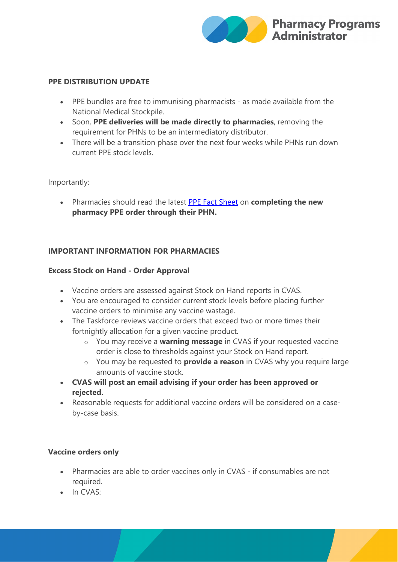

#### **PPE DISTRIBUTION UPDATE**

- PPE bundles are free to immunising pharmacists as made available from the National Medical Stockpile.
- Soon, **PPE deliveries will be made directly to pharmacies**, removing the requirement for PHNs to be an intermediatory distributor.
- There will be a transition phase over the next four weeks while PHNs run down current PPE stock levels.

Importantly:

• Pharmacies should read the latest [PPE Fact Sheet](https://protect-au.mimecast.com/s/TcHNCjZ1r8ClvW5i7xDGR?domain=health.gov.au) on **completing the new pharmacy PPE order through their PHN.**

## **IMPORTANT INFORMATION FOR PHARMACIES**

#### **Excess Stock on Hand - Order Approval**

- Vaccine orders are assessed against Stock on Hand reports in CVAS.
- You are encouraged to consider current stock levels before placing further vaccine orders to minimise any vaccine wastage.
- The Taskforce reviews vaccine orders that exceed two or more times their fortnightly allocation for a given vaccine product.
	- o You may receive a **warning message** in CVAS if your requested vaccine order is close to thresholds against your Stock on Hand report.
	- o You may be requested to **provide a reason** in CVAS why you require large amounts of vaccine stock.
- **CVAS will post an email advising if your order has been approved or rejected.**
- Reasonable requests for additional vaccine orders will be considered on a caseby-case basis.

## **Vaccine orders only**

- Pharmacies are able to order vaccines only in CVAS if consumables are not required.
- $\cdot$  In CVAS $\cdot$